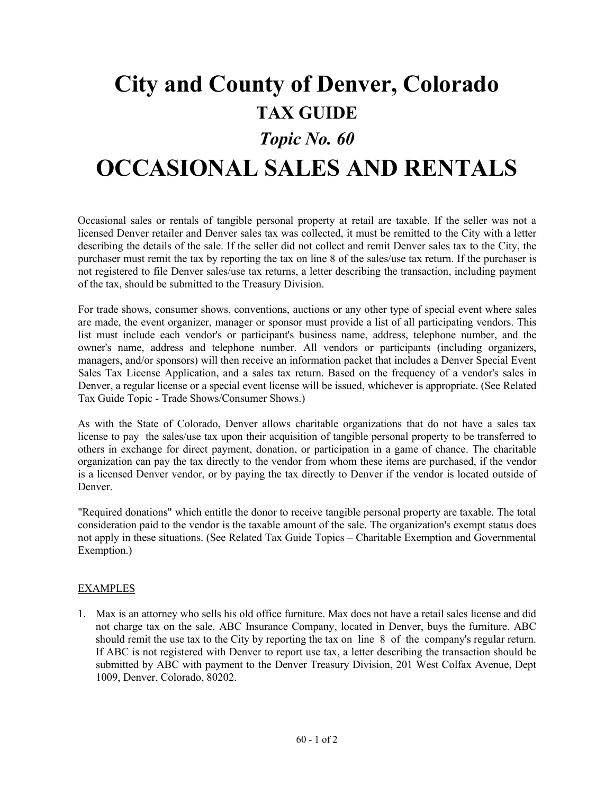## **City and County of Denver, Colorado TAX GUIDE** *Topic No. 60*

## **OCCASIONAL SALES AND RENTALS**

Occasional sales or rentals of tangible personal property at retail are taxable. If the seller was not a licensed Denver retailer and Denver sales tax was collected, it must be remitted to the City with a letter describing the details of the sale. If the seller did not collect and remit Denver sales tax to the City, the purchaser must remit the tax by reporting the tax on line 8 of the sales/use tax return. If the purchaser is not registered to file Denver sales/use tax returns, a letter describing the transaction, including payment of the tax, should be submitted to the Treasury Division.

For trade shows, consumer shows, conventions, auctions or any other type of special event where sales are made, the event organizer, manager or sponsor must provide a list of all participating vendors. This list must include each vendor's or participant's business name, address, telephone number, and the owner's name, address and telephone number. All vendors or participants (including organizers, managers, and/or sponsors) will then receive an information packet that includes a Denver Special Event Sales Tax License Application, and a sales tax return. Based on the frequency of a vendor's sales in Denver, a regular license or a special event license will be issued, whichever is appropriate. (See Related Tax Guide Topic - Trade Shows/Consumer Shows.)

As with the State of Colorado, Denver allows charitable organizations that do not have a sales tax license to pay the sales/use tax upon their acquisition of tangible personal property to be transferred to others in exchange for direct payment, donation, or participation in a game of chance. The charitable organization can pay the tax directly to the vendor from whom these items are purchased, if the vendor is a licensed Denver vendor, or by paying the tax directly to Denver if the vendor is located outside of Denver.

"Required donations" which entitle the donor to receive tangible personal property are taxable. The total consideration paid to the vendor is the taxable amount of the sale. The organization's exempt status does not apply in these situations. (See Related Tax Guide Topics – Charitable Exemption and Governmental Exemption.)

## EXAMPLES

1. Max is an attorney who sells his old office furniture. Max does not have a retail sales license and did not charge tax on the sale. ABC Insurance Company, located in Denver, buys the furniture. ABC should remit the use tax to the City by reporting the tax on line 8 of the company's regular return. If ABC is not registered with Denver to report use tax, a letter describing the transaction should be submitted by ABC with payment to the Denver Treasury Division, 201 West Colfax Avenue, Dept 1009, Denver, Colorado, 80202.